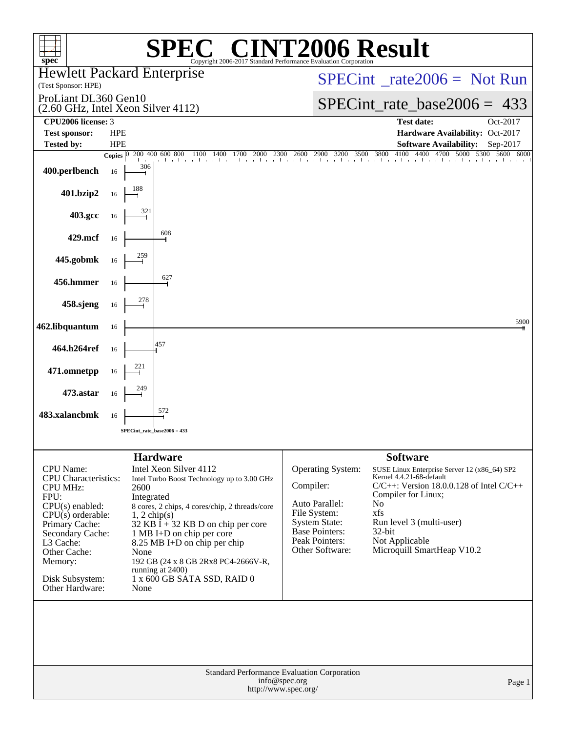| <b>INT2006 Result</b><br>$\left( \begin{array}{c} \n\sqrt{2} & \sqrt{2} \\ \n\sqrt{2} & \sqrt{2} \n\end{array} \right)$<br>spec <sup>®</sup><br>Copyright 2006-2017 Standard Performance Evaluation Corporation              |                    |                                                                                                                                                                                                                                                                                                                                                                                                         |                                                                                                                                                        |                                                                                                                                                                                                                                                                                    |  |  |  |  |  |  |
|------------------------------------------------------------------------------------------------------------------------------------------------------------------------------------------------------------------------------|--------------------|---------------------------------------------------------------------------------------------------------------------------------------------------------------------------------------------------------------------------------------------------------------------------------------------------------------------------------------------------------------------------------------------------------|--------------------------------------------------------------------------------------------------------------------------------------------------------|------------------------------------------------------------------------------------------------------------------------------------------------------------------------------------------------------------------------------------------------------------------------------------|--|--|--|--|--|--|
| (Test Sponsor: HPE)                                                                                                                                                                                                          |                    | <b>Hewlett Packard Enterprise</b>                                                                                                                                                                                                                                                                                                                                                                       |                                                                                                                                                        | $SPECint^{\circ}$ <sub>rate2006</sub> = Not Run                                                                                                                                                                                                                                    |  |  |  |  |  |  |
| ProLiant DL360 Gen10<br>(2.60 GHz, Intel Xeon Silver 4112)                                                                                                                                                                   |                    |                                                                                                                                                                                                                                                                                                                                                                                                         |                                                                                                                                                        | $SPECint_rate_base2006 = 433$                                                                                                                                                                                                                                                      |  |  |  |  |  |  |
| CPU2006 license: 3                                                                                                                                                                                                           |                    |                                                                                                                                                                                                                                                                                                                                                                                                         |                                                                                                                                                        | <b>Test date:</b><br>Oct-2017                                                                                                                                                                                                                                                      |  |  |  |  |  |  |
| <b>Test sponsor:</b>                                                                                                                                                                                                         | <b>HPE</b>         |                                                                                                                                                                                                                                                                                                                                                                                                         |                                                                                                                                                        | Hardware Availability: Oct-2017                                                                                                                                                                                                                                                    |  |  |  |  |  |  |
| <b>Tested by:</b>                                                                                                                                                                                                            | <b>HPE</b>         | 200 400 600 800<br>2300<br>1100<br>2000<br>1400<br>1700                                                                                                                                                                                                                                                                                                                                                 | 2900 3200<br>3500<br>2600                                                                                                                              | <b>Software Availability:</b><br>Sep-2017<br>4100<br>4400<br>3800<br>4700<br>5000<br>5300<br>5600<br>6000                                                                                                                                                                          |  |  |  |  |  |  |
| 400.perlbench                                                                                                                                                                                                                | Copies $ 0 $<br>16 | 306                                                                                                                                                                                                                                                                                                                                                                                                     |                                                                                                                                                        |                                                                                                                                                                                                                                                                                    |  |  |  |  |  |  |
| 401.bzip2                                                                                                                                                                                                                    | 16                 | 188                                                                                                                                                                                                                                                                                                                                                                                                     |                                                                                                                                                        |                                                                                                                                                                                                                                                                                    |  |  |  |  |  |  |
| 403.gcc                                                                                                                                                                                                                      | 16                 | 321                                                                                                                                                                                                                                                                                                                                                                                                     |                                                                                                                                                        |                                                                                                                                                                                                                                                                                    |  |  |  |  |  |  |
| 429.mcf                                                                                                                                                                                                                      | 16                 | 608                                                                                                                                                                                                                                                                                                                                                                                                     |                                                                                                                                                        |                                                                                                                                                                                                                                                                                    |  |  |  |  |  |  |
| 445.gobmk                                                                                                                                                                                                                    | 16                 | 259                                                                                                                                                                                                                                                                                                                                                                                                     |                                                                                                                                                        |                                                                                                                                                                                                                                                                                    |  |  |  |  |  |  |
| 456.hmmer                                                                                                                                                                                                                    | 16                 | 627                                                                                                                                                                                                                                                                                                                                                                                                     |                                                                                                                                                        |                                                                                                                                                                                                                                                                                    |  |  |  |  |  |  |
| 458.sjeng                                                                                                                                                                                                                    | 16                 | 278                                                                                                                                                                                                                                                                                                                                                                                                     |                                                                                                                                                        |                                                                                                                                                                                                                                                                                    |  |  |  |  |  |  |
| 462.libquantum                                                                                                                                                                                                               | 16                 |                                                                                                                                                                                                                                                                                                                                                                                                         |                                                                                                                                                        | 5900                                                                                                                                                                                                                                                                               |  |  |  |  |  |  |
| 464.h264ref                                                                                                                                                                                                                  | 16                 | 457                                                                                                                                                                                                                                                                                                                                                                                                     |                                                                                                                                                        |                                                                                                                                                                                                                                                                                    |  |  |  |  |  |  |
| 471.omnetpp                                                                                                                                                                                                                  | 16                 | 221                                                                                                                                                                                                                                                                                                                                                                                                     |                                                                                                                                                        |                                                                                                                                                                                                                                                                                    |  |  |  |  |  |  |
| 473.astar                                                                                                                                                                                                                    | 16                 |                                                                                                                                                                                                                                                                                                                                                                                                         |                                                                                                                                                        |                                                                                                                                                                                                                                                                                    |  |  |  |  |  |  |
| 483.xalancbmk                                                                                                                                                                                                                | 16                 | 572                                                                                                                                                                                                                                                                                                                                                                                                     |                                                                                                                                                        |                                                                                                                                                                                                                                                                                    |  |  |  |  |  |  |
|                                                                                                                                                                                                                              |                    | SPECint rate base $2006 = 433$                                                                                                                                                                                                                                                                                                                                                                          |                                                                                                                                                        |                                                                                                                                                                                                                                                                                    |  |  |  |  |  |  |
|                                                                                                                                                                                                                              |                    |                                                                                                                                                                                                                                                                                                                                                                                                         |                                                                                                                                                        |                                                                                                                                                                                                                                                                                    |  |  |  |  |  |  |
| CPU Name:<br>CPU Characteristics:<br><b>CPU MHz:</b><br>FPU:<br>$CPU(s)$ enabled:<br>$CPU(s)$ orderable:<br>Primary Cache:<br>Secondary Cache:<br>L3 Cache:<br>Other Cache:<br>Memory:<br>Disk Subsystem:<br>Other Hardware: |                    | <b>Hardware</b><br>Intel Xeon Silver 4112<br>Intel Turbo Boost Technology up to 3.00 GHz<br>2600<br>Integrated<br>8 cores, 2 chips, 4 cores/chip, 2 threads/core<br>$1, 2$ chip(s)<br>32 KB $\bar{I}$ + 32 KB D on chip per core<br>1 MB I+D on chip per core<br>8.25 MB I+D on chip per chip<br>None<br>192 GB (24 x 8 GB 2Rx8 PC4-2666V-R,<br>running at 2400)<br>1 x 600 GB SATA SSD, RAID 0<br>None | <b>Operating System:</b><br>Compiler:<br>Auto Parallel:<br>File System:<br><b>System State:</b><br>Base Pointers:<br>Peak Pointers:<br>Other Software: | <b>Software</b><br>SUSE Linux Enterprise Server 12 (x86_64) SP2<br>Kernel 4.4.21-68-default<br>$C/C++$ : Version 18.0.0.128 of Intel $C/C++$<br>Compiler for Linux;<br>N <sub>o</sub><br>xfs<br>Run level 3 (multi-user)<br>32-bit<br>Not Applicable<br>Microquill SmartHeap V10.2 |  |  |  |  |  |  |
|                                                                                                                                                                                                                              |                    |                                                                                                                                                                                                                                                                                                                                                                                                         | Standard Performance Evaluation Corporation<br>info@spec.org<br>http://www.spec.org/                                                                   | Page 1                                                                                                                                                                                                                                                                             |  |  |  |  |  |  |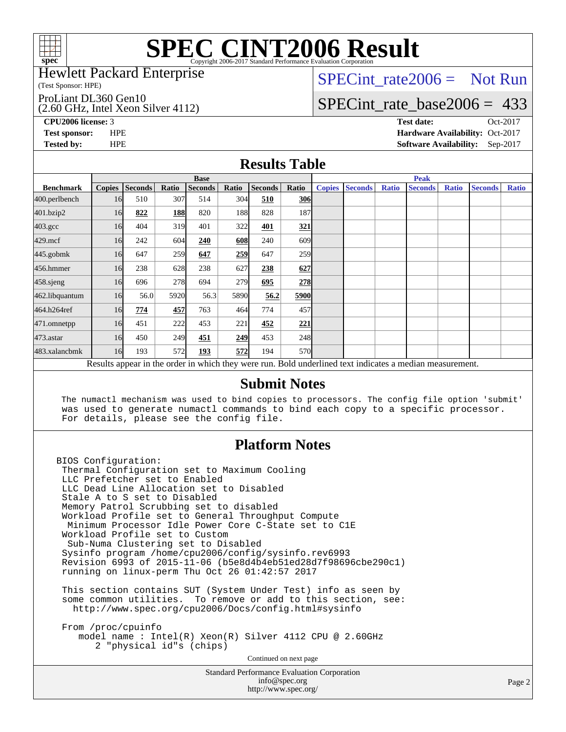

#### Hewlett Packard Enterprise

(Test Sponsor: HPE)

ProLiant DL360 Gen10

(2.60 GHz, Intel Xeon Silver 4112)

SPECint rate  $2006 =$  Not Run

### [SPECint\\_rate\\_base2006 =](http://www.spec.org/auto/cpu2006/Docs/result-fields.html#SPECintratebase2006) 433

**[CPU2006 license:](http://www.spec.org/auto/cpu2006/Docs/result-fields.html#CPU2006license)** 3 **[Test date:](http://www.spec.org/auto/cpu2006/Docs/result-fields.html#Testdate)** Oct-2017 **[Test sponsor:](http://www.spec.org/auto/cpu2006/Docs/result-fields.html#Testsponsor)** HPE **[Hardware Availability:](http://www.spec.org/auto/cpu2006/Docs/result-fields.html#HardwareAvailability)** Oct-2017 **[Tested by:](http://www.spec.org/auto/cpu2006/Docs/result-fields.html#Testedby)** HPE **[Software Availability:](http://www.spec.org/auto/cpu2006/Docs/result-fields.html#SoftwareAvailability)** Sep-2017

#### **[Results Table](http://www.spec.org/auto/cpu2006/Docs/result-fields.html#ResultsTable)**

|                                                                                                          | <b>Base</b>   |                |       |                |            |                |            | <b>Peak</b>   |                |              |                |              |                |              |
|----------------------------------------------------------------------------------------------------------|---------------|----------------|-------|----------------|------------|----------------|------------|---------------|----------------|--------------|----------------|--------------|----------------|--------------|
| <b>Benchmark</b>                                                                                         | <b>Copies</b> | <b>Seconds</b> | Ratio | <b>Seconds</b> | Ratio      | <b>Seconds</b> | Ratio      | <b>Copies</b> | <b>Seconds</b> | <b>Ratio</b> | <b>Seconds</b> | <b>Ratio</b> | <b>Seconds</b> | <b>Ratio</b> |
| 400.perlbench                                                                                            | 16            | 510            | 307   | 514            | 304        | 510            | <b>306</b> |               |                |              |                |              |                |              |
| 401.bzip2                                                                                                | 16            | 822            | 188   | 820            | <b>188</b> | 828            | 187        |               |                |              |                |              |                |              |
| $403.\text{gcc}$                                                                                         | 16            | 404            | 319   | 401            | 322        | 401            | 321        |               |                |              |                |              |                |              |
| $429$ .mcf                                                                                               | 16            | 242            | 604   | 240            | 608        | 240            | 609        |               |                |              |                |              |                |              |
| $445$ .gobm $k$                                                                                          | 16            | 647            | 259   | 647            | 259        | 647            | 259        |               |                |              |                |              |                |              |
| 456.hmmer                                                                                                | 16            | 238            | 628   | 238            | 627        | 238            | 627        |               |                |              |                |              |                |              |
| 458.sjeng                                                                                                | 16            | 696            | 278   | 694            | 279        | 695            | 278        |               |                |              |                |              |                |              |
| 462.libquantum                                                                                           | 16            | 56.0           | 5920  | 56.3           | 5890       | 56.2           | 5900       |               |                |              |                |              |                |              |
| 464.h264ref                                                                                              | 16            | 774            | 457   | 763            | 464        | 774            | 457        |               |                |              |                |              |                |              |
| 471.omnetpp                                                                                              | 16            | 451            | 222   | 453            | 221        | 452            | 221        |               |                |              |                |              |                |              |
| $473$ . astar                                                                                            | 16            | 450            | 249   | 451            | 249        | 453            | 248        |               |                |              |                |              |                |              |
| 483.xalancbmk                                                                                            | 16            | 193            | 572   | 193            | 572        | 194            | 570l       |               |                |              |                |              |                |              |
| Results appear in the order in which they were run. Bold underlined text indicates a median measurement. |               |                |       |                |            |                |            |               |                |              |                |              |                |              |

#### **[Submit Notes](http://www.spec.org/auto/cpu2006/Docs/result-fields.html#SubmitNotes)**

 The numactl mechanism was used to bind copies to processors. The config file option 'submit' was used to generate numactl commands to bind each copy to a specific processor. For details, please see the config file.

### **[Platform Notes](http://www.spec.org/auto/cpu2006/Docs/result-fields.html#PlatformNotes)**

BIOS Configuration: Thermal Configuration set to Maximum Cooling LLC Prefetcher set to Enabled LLC Dead Line Allocation set to Disabled Stale A to S set to Disabled Memory Patrol Scrubbing set to disabled Workload Profile set to General Throughput Compute Minimum Processor Idle Power Core C-State set to C1E Workload Profile set to Custom Sub-Numa Clustering set to Disabled Sysinfo program /home/cpu2006/config/sysinfo.rev6993 Revision 6993 of 2015-11-06 (b5e8d4b4eb51ed28d7f98696cbe290c1) running on linux-perm Thu Oct 26 01:42:57 2017 This section contains SUT (System Under Test) info as seen by some common utilities. To remove or add to this section, see: <http://www.spec.org/cpu2006/Docs/config.html#sysinfo>

 From /proc/cpuinfo model name : Intel(R) Xeon(R) Silver 4112 CPU @ 2.60GHz 2 "physical id"s (chips)

Continued on next page

Standard Performance Evaluation Corporation [info@spec.org](mailto:info@spec.org) <http://www.spec.org/>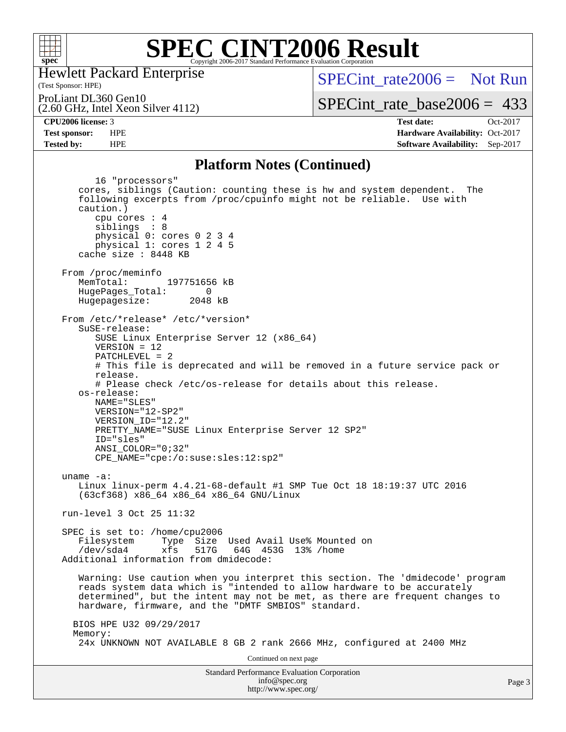

Hewlett Packard Enterprise

(2.60 GHz, Intel Xeon Silver 4112)

(Test Sponsor: HPE)

 $SPECint rate2006 = Not Run$ 

ProLiant DL360 Gen10

[SPECint\\_rate\\_base2006 =](http://www.spec.org/auto/cpu2006/Docs/result-fields.html#SPECintratebase2006) 433

**[CPU2006 license:](http://www.spec.org/auto/cpu2006/Docs/result-fields.html#CPU2006license)** 3 **[Test date:](http://www.spec.org/auto/cpu2006/Docs/result-fields.html#Testdate)** Oct-2017 **[Test sponsor:](http://www.spec.org/auto/cpu2006/Docs/result-fields.html#Testsponsor)** HPE **[Hardware Availability:](http://www.spec.org/auto/cpu2006/Docs/result-fields.html#HardwareAvailability)** Oct-2017 **[Tested by:](http://www.spec.org/auto/cpu2006/Docs/result-fields.html#Testedby)** HPE **[Software Availability:](http://www.spec.org/auto/cpu2006/Docs/result-fields.html#SoftwareAvailability)** Sep-2017

#### **[Platform Notes \(Continued\)](http://www.spec.org/auto/cpu2006/Docs/result-fields.html#PlatformNotes)**

Standard Performance Evaluation Corporation [info@spec.org](mailto:info@spec.org) 16 "processors" cores, siblings (Caution: counting these is hw and system dependent. The following excerpts from /proc/cpuinfo might not be reliable. Use with caution.) cpu cores : 4 siblings : 8 physical 0: cores 0 2 3 4 physical 1: cores 1 2 4 5 cache size : 8448 KB From /proc/meminfo<br>MemTotal: 197751656 kB HugePages\_Total: 0<br>Hugepagesize: 2048 kB Hugepagesize: From /etc/\*release\* /etc/\*version\* SuSE-release: SUSE Linux Enterprise Server 12 (x86\_64) VERSION = 12 PATCHLEVEL = 2 # This file is deprecated and will be removed in a future service pack or release. # Please check /etc/os-release for details about this release. os-release: NAME="SLES" VERSION="12-SP2" VERSION\_ID="12.2" PRETTY\_NAME="SUSE Linux Enterprise Server 12 SP2" ID="sles" ANSI\_COLOR="0;32" CPE\_NAME="cpe:/o:suse:sles:12:sp2" uname -a: Linux linux-perm 4.4.21-68-default #1 SMP Tue Oct 18 18:19:37 UTC 2016 (63cf368) x86\_64 x86\_64 x86\_64 GNU/Linux run-level 3 Oct 25 11:32 SPEC is set to: /home/cpu2006 Filesystem Type Size Used Avail Use% Mounted on<br>
/dev/sda4 xfs 517G 64G 453G 13% /home xfs 517G 64G 453G 13% /home Additional information from dmidecode: Warning: Use caution when you interpret this section. The 'dmidecode' program reads system data which is "intended to allow hardware to be accurately determined", but the intent may not be met, as there are frequent changes to hardware, firmware, and the "DMTF SMBIOS" standard. BIOS HPE U32 09/29/2017 Memory: 24x UNKNOWN NOT AVAILABLE 8 GB 2 rank 2666 MHz, configured at 2400 MHz Continued on next page

<http://www.spec.org/>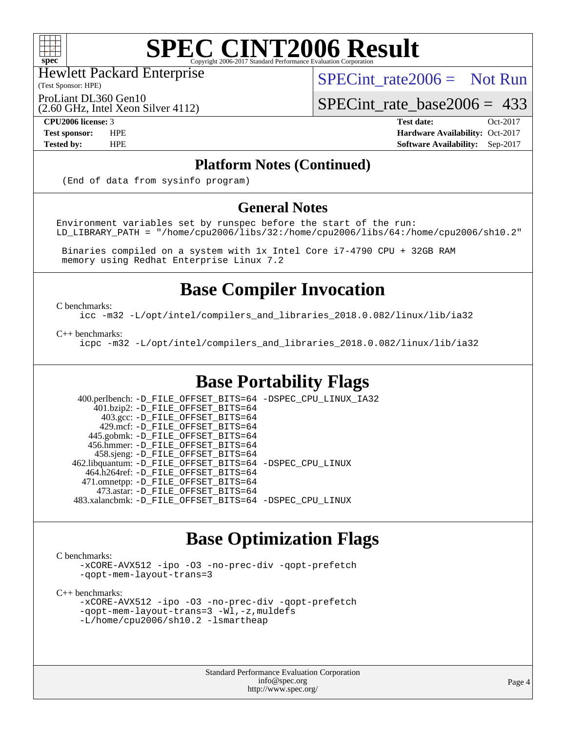

Hewlett Packard Enterprise

(2.60 GHz, Intel Xeon Silver 4112)

(Test Sponsor: HPE)

SPECint rate  $2006 =$  Not Run

ProLiant DL360 Gen10

SPECint rate base  $2006 = 433$ 

**[CPU2006 license:](http://www.spec.org/auto/cpu2006/Docs/result-fields.html#CPU2006license)** 3 **[Test date:](http://www.spec.org/auto/cpu2006/Docs/result-fields.html#Testdate)** Oct-2017 **[Test sponsor:](http://www.spec.org/auto/cpu2006/Docs/result-fields.html#Testsponsor)** HPE **[Hardware Availability:](http://www.spec.org/auto/cpu2006/Docs/result-fields.html#HardwareAvailability)** Oct-2017 **[Tested by:](http://www.spec.org/auto/cpu2006/Docs/result-fields.html#Testedby)** HPE **[Software Availability:](http://www.spec.org/auto/cpu2006/Docs/result-fields.html#SoftwareAvailability)** Sep-2017

### **[Platform Notes \(Continued\)](http://www.spec.org/auto/cpu2006/Docs/result-fields.html#PlatformNotes)**

(End of data from sysinfo program)

#### **[General Notes](http://www.spec.org/auto/cpu2006/Docs/result-fields.html#GeneralNotes)**

Environment variables set by runspec before the start of the run: LD\_LIBRARY\_PATH = "/home/cpu2006/libs/32:/home/cpu2006/libs/64:/home/cpu2006/sh10.2"

 Binaries compiled on a system with 1x Intel Core i7-4790 CPU + 32GB RAM memory using Redhat Enterprise Linux 7.2

## **[Base Compiler Invocation](http://www.spec.org/auto/cpu2006/Docs/result-fields.html#BaseCompilerInvocation)**

[C benchmarks](http://www.spec.org/auto/cpu2006/Docs/result-fields.html#Cbenchmarks):

[icc -m32 -L/opt/intel/compilers\\_and\\_libraries\\_2018.0.082/linux/lib/ia32](http://www.spec.org/cpu2006/results/res2017q4/cpu2006-20171031-50505.flags.html#user_CCbase_intel_icc_355c401af4d5dc87e09103a6bbcae1c6)

[C++ benchmarks:](http://www.spec.org/auto/cpu2006/Docs/result-fields.html#CXXbenchmarks)

[icpc -m32 -L/opt/intel/compilers\\_and\\_libraries\\_2018.0.082/linux/lib/ia32](http://www.spec.org/cpu2006/results/res2017q4/cpu2006-20171031-50505.flags.html#user_CXXbase_intel_icpc_b34a6f497613b30bc6bf10051974f22f)

## **[Base Portability Flags](http://www.spec.org/auto/cpu2006/Docs/result-fields.html#BasePortabilityFlags)**

 400.perlbench: [-D\\_FILE\\_OFFSET\\_BITS=64](http://www.spec.org/cpu2006/results/res2017q4/cpu2006-20171031-50505.flags.html#user_basePORTABILITY400_perlbench_file_offset_bits_64_438cf9856305ebd76870a2c6dc2689ab) [-DSPEC\\_CPU\\_LINUX\\_IA32](http://www.spec.org/cpu2006/results/res2017q4/cpu2006-20171031-50505.flags.html#b400.perlbench_baseCPORTABILITY_DSPEC_CPU_LINUX_IA32) 401.bzip2: [-D\\_FILE\\_OFFSET\\_BITS=64](http://www.spec.org/cpu2006/results/res2017q4/cpu2006-20171031-50505.flags.html#user_basePORTABILITY401_bzip2_file_offset_bits_64_438cf9856305ebd76870a2c6dc2689ab) 403.gcc: [-D\\_FILE\\_OFFSET\\_BITS=64](http://www.spec.org/cpu2006/results/res2017q4/cpu2006-20171031-50505.flags.html#user_basePORTABILITY403_gcc_file_offset_bits_64_438cf9856305ebd76870a2c6dc2689ab) 429.mcf: [-D\\_FILE\\_OFFSET\\_BITS=64](http://www.spec.org/cpu2006/results/res2017q4/cpu2006-20171031-50505.flags.html#user_basePORTABILITY429_mcf_file_offset_bits_64_438cf9856305ebd76870a2c6dc2689ab) 445.gobmk: [-D\\_FILE\\_OFFSET\\_BITS=64](http://www.spec.org/cpu2006/results/res2017q4/cpu2006-20171031-50505.flags.html#user_basePORTABILITY445_gobmk_file_offset_bits_64_438cf9856305ebd76870a2c6dc2689ab) 456.hmmer: [-D\\_FILE\\_OFFSET\\_BITS=64](http://www.spec.org/cpu2006/results/res2017q4/cpu2006-20171031-50505.flags.html#user_basePORTABILITY456_hmmer_file_offset_bits_64_438cf9856305ebd76870a2c6dc2689ab) 458.sjeng: [-D\\_FILE\\_OFFSET\\_BITS=64](http://www.spec.org/cpu2006/results/res2017q4/cpu2006-20171031-50505.flags.html#user_basePORTABILITY458_sjeng_file_offset_bits_64_438cf9856305ebd76870a2c6dc2689ab) 462.libquantum: [-D\\_FILE\\_OFFSET\\_BITS=64](http://www.spec.org/cpu2006/results/res2017q4/cpu2006-20171031-50505.flags.html#user_basePORTABILITY462_libquantum_file_offset_bits_64_438cf9856305ebd76870a2c6dc2689ab) [-DSPEC\\_CPU\\_LINUX](http://www.spec.org/cpu2006/results/res2017q4/cpu2006-20171031-50505.flags.html#b462.libquantum_baseCPORTABILITY_DSPEC_CPU_LINUX) 464.h264ref: [-D\\_FILE\\_OFFSET\\_BITS=64](http://www.spec.org/cpu2006/results/res2017q4/cpu2006-20171031-50505.flags.html#user_basePORTABILITY464_h264ref_file_offset_bits_64_438cf9856305ebd76870a2c6dc2689ab) 471.omnetpp: [-D\\_FILE\\_OFFSET\\_BITS=64](http://www.spec.org/cpu2006/results/res2017q4/cpu2006-20171031-50505.flags.html#user_basePORTABILITY471_omnetpp_file_offset_bits_64_438cf9856305ebd76870a2c6dc2689ab) 473.astar: [-D\\_FILE\\_OFFSET\\_BITS=64](http://www.spec.org/cpu2006/results/res2017q4/cpu2006-20171031-50505.flags.html#user_basePORTABILITY473_astar_file_offset_bits_64_438cf9856305ebd76870a2c6dc2689ab) 483.xalancbmk: [-D\\_FILE\\_OFFSET\\_BITS=64](http://www.spec.org/cpu2006/results/res2017q4/cpu2006-20171031-50505.flags.html#user_basePORTABILITY483_xalancbmk_file_offset_bits_64_438cf9856305ebd76870a2c6dc2689ab) [-DSPEC\\_CPU\\_LINUX](http://www.spec.org/cpu2006/results/res2017q4/cpu2006-20171031-50505.flags.html#b483.xalancbmk_baseCXXPORTABILITY_DSPEC_CPU_LINUX)

## **[Base Optimization Flags](http://www.spec.org/auto/cpu2006/Docs/result-fields.html#BaseOptimizationFlags)**

[C benchmarks](http://www.spec.org/auto/cpu2006/Docs/result-fields.html#Cbenchmarks):

[-xCORE-AVX512](http://www.spec.org/cpu2006/results/res2017q4/cpu2006-20171031-50505.flags.html#user_CCbase_f-xCORE-AVX512) [-ipo](http://www.spec.org/cpu2006/results/res2017q4/cpu2006-20171031-50505.flags.html#user_CCbase_f-ipo) [-O3](http://www.spec.org/cpu2006/results/res2017q4/cpu2006-20171031-50505.flags.html#user_CCbase_f-O3) [-no-prec-div](http://www.spec.org/cpu2006/results/res2017q4/cpu2006-20171031-50505.flags.html#user_CCbase_f-no-prec-div) [-qopt-prefetch](http://www.spec.org/cpu2006/results/res2017q4/cpu2006-20171031-50505.flags.html#user_CCbase_f-qopt-prefetch) [-qopt-mem-layout-trans=3](http://www.spec.org/cpu2006/results/res2017q4/cpu2006-20171031-50505.flags.html#user_CCbase_f-qopt-mem-layout-trans_170f5be61cd2cedc9b54468c59262d5d)

[C++ benchmarks:](http://www.spec.org/auto/cpu2006/Docs/result-fields.html#CXXbenchmarks)

```
-xCORE-AVX512 -ipo -O3 -no-prec-div -qopt-prefetch
-qopt-mem-layout-trans=3 -Wl,-z,muldefs
-L/home/cpu2006/sh10.2 -lsmartheap
```